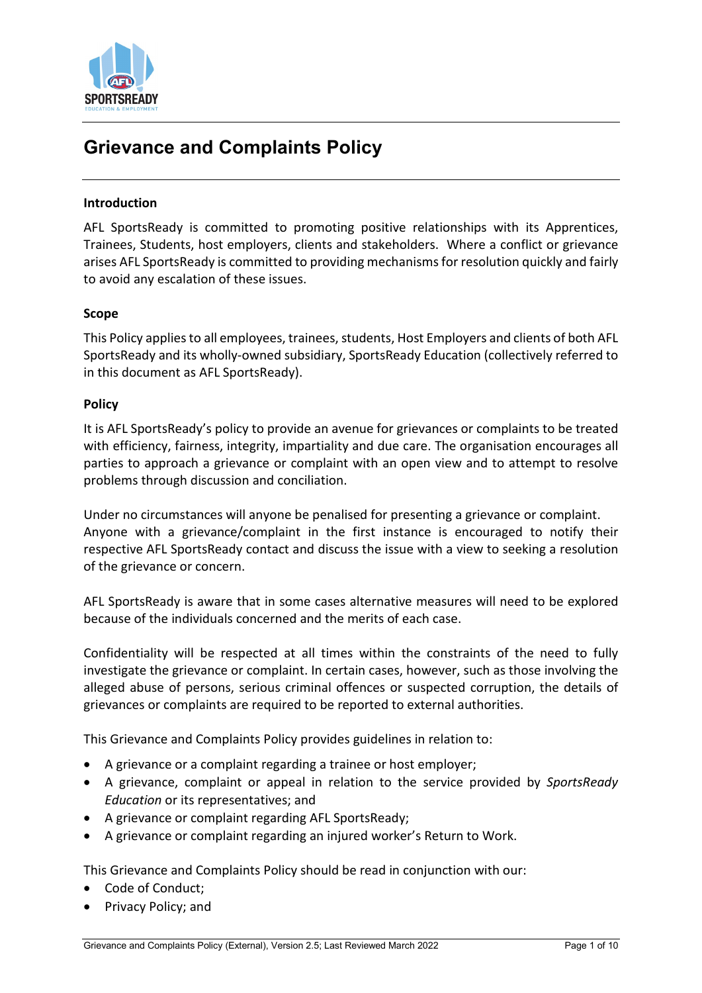

# **Grievance and Complaints Policy**

#### **Introduction**

AFL SportsReady is committed to promoting positive relationships with its Apprentices, Trainees, Students, host employers, clients and stakeholders. Where a conflict or grievance arises AFL SportsReady is committed to providing mechanisms for resolution quickly and fairly to avoid any escalation of these issues.

#### **Scope**

This Policy applies to all employees, trainees, students, Host Employers and clients of both AFL SportsReady and its wholly-owned subsidiary, SportsReady Education (collectively referred to in this document as AFL SportsReady).

#### **Policy**

It is AFL SportsReady's policy to provide an avenue for grievances or complaints to be treated with efficiency, fairness, integrity, impartiality and due care. The organisation encourages all parties to approach a grievance or complaint with an open view and to attempt to resolve problems through discussion and conciliation.

Under no circumstances will anyone be penalised for presenting a grievance or complaint. Anyone with a grievance/complaint in the first instance is encouraged to notify their respective AFL SportsReady contact and discuss the issue with a view to seeking a resolution of the grievance or concern.

AFL SportsReady is aware that in some cases alternative measures will need to be explored because of the individuals concerned and the merits of each case.

Confidentiality will be respected at all times within the constraints of the need to fully investigate the grievance or complaint. In certain cases, however, such as those involving the alleged abuse of persons, serious criminal offences or suspected corruption, the details of grievances or complaints are required to be reported to external authorities.

This Grievance and Complaints Policy provides guidelines in relation to:

- A grievance or a complaint regarding a trainee or host employer;
- A grievance, complaint or appeal in relation to the service provided by *SportsReady Education* or its representatives; and
- A grievance or complaint regarding AFL SportsReady;
- A grievance or complaint regarding an injured worker's Return to Work.

This Grievance and Complaints Policy should be read in conjunction with our:

- Code of Conduct;
- Privacy Policy; and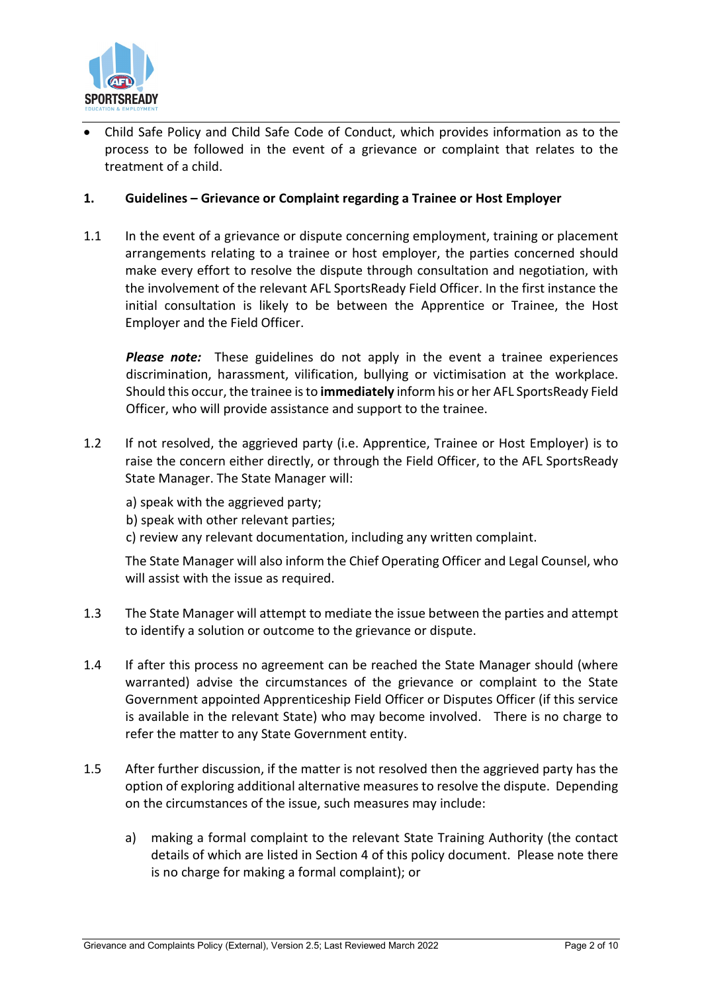

• Child Safe Policy and Child Safe Code of Conduct, which provides information as to the process to be followed in the event of a grievance or complaint that relates to the treatment of a child.

### **1. Guidelines – Grievance or Complaint regarding a Trainee or Host Employer**

1.1 In the event of a grievance or dispute concerning employment, training or placement arrangements relating to a trainee or host employer, the parties concerned should make every effort to resolve the dispute through consultation and negotiation, with the involvement of the relevant AFL SportsReady Field Officer. In the first instance the initial consultation is likely to be between the Apprentice or Trainee, the Host Employer and the Field Officer.

*Please note:* These guidelines do not apply in the event a trainee experiences discrimination, harassment, vilification, bullying or victimisation at the workplace. Should this occur, the trainee is to **immediately** inform his or her AFL SportsReady Field Officer, who will provide assistance and support to the trainee.

- 1.2 If not resolved, the aggrieved party (i.e. Apprentice, Trainee or Host Employer) is to raise the concern either directly, or through the Field Officer, to the AFL SportsReady State Manager. The State Manager will:
	- a) speak with the aggrieved party;
	- b) speak with other relevant parties;
	- c) review any relevant documentation, including any written complaint.

The State Manager will also inform the Chief Operating Officer and Legal Counsel, who will assist with the issue as required.

- 1.3 The State Manager will attempt to mediate the issue between the parties and attempt to identify a solution or outcome to the grievance or dispute.
- 1.4 If after this process no agreement can be reached the State Manager should (where warranted) advise the circumstances of the grievance or complaint to the State Government appointed Apprenticeship Field Officer or Disputes Officer (if this service is available in the relevant State) who may become involved. There is no charge to refer the matter to any State Government entity.
- 1.5 After further discussion, if the matter is not resolved then the aggrieved party has the option of exploring additional alternative measures to resolve the dispute. Depending on the circumstances of the issue, such measures may include:
	- a) making a formal complaint to the relevant State Training Authority (the contact details of which are listed in Section 4 of this policy document. Please note there is no charge for making a formal complaint); or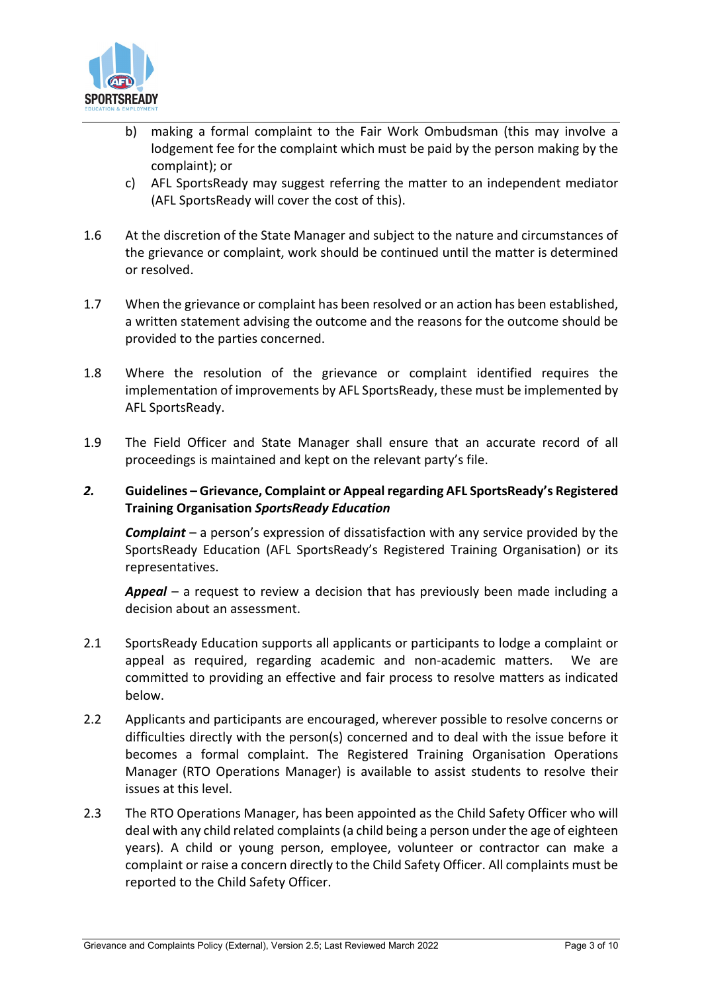

- b) making a formal complaint to the Fair Work Ombudsman (this may involve a lodgement fee for the complaint which must be paid by the person making by the complaint); or
- c) AFL SportsReady may suggest referring the matter to an independent mediator (AFL SportsReady will cover the cost of this).
- 1.6 At the discretion of the State Manager and subject to the nature and circumstances of the grievance or complaint, work should be continued until the matter is determined or resolved.
- 1.7 When the grievance or complaint has been resolved or an action has been established, a written statement advising the outcome and the reasons for the outcome should be provided to the parties concerned.
- 1.8 Where the resolution of the grievance or complaint identified requires the implementation of improvements by AFL SportsReady, these must be implemented by AFL SportsReady.
- 1.9 The Field Officer and State Manager shall ensure that an accurate record of all proceedings is maintained and kept on the relevant party's file.

## *2.* **Guidelines – Grievance, Complaint or Appeal regarding AFL SportsReady's Registered Training Organisation** *SportsReady Education*

*Complaint* – a person's expression of dissatisfaction with any service provided by the SportsReady Education (AFL SportsReady's Registered Training Organisation) or its representatives.

*Appeal* – a request to review a decision that has previously been made including a decision about an assessment.

- 2.1 SportsReady Education supports all applicants or participants to lodge a complaint or appeal as required, regarding academic and non-academic matters. We are committed to providing an effective and fair process to resolve matters as indicated below.
- 2.2 Applicants and participants are encouraged, wherever possible to resolve concerns or difficulties directly with the person(s) concerned and to deal with the issue before it becomes a formal complaint. The Registered Training Organisation Operations Manager (RTO Operations Manager) is available to assist students to resolve their issues at this level.
- 2.3 The RTO Operations Manager, has been appointed as the Child Safety Officer who will deal with any child related complaints (a child being a person under the age of eighteen years). A child or young person, employee, volunteer or contractor can make a complaint or raise a concern directly to the Child Safety Officer. All complaints must be reported to the Child Safety Officer.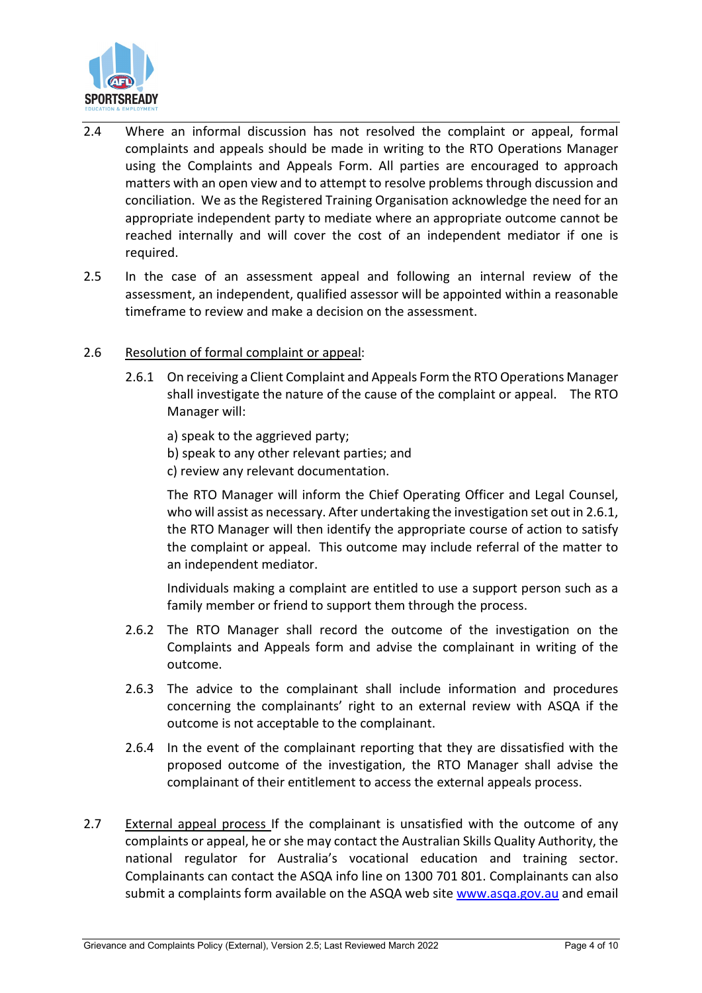

- 2.4 Where an informal discussion has not resolved the complaint or appeal, formal complaints and appeals should be made in writing to the RTO Operations Manager using the Complaints and Appeals Form. All parties are encouraged to approach matters with an open view and to attempt to resolve problems through discussion and conciliation. We as the Registered Training Organisation acknowledge the need for an appropriate independent party to mediate where an appropriate outcome cannot be reached internally and will cover the cost of an independent mediator if one is required.
- 2.5 In the case of an assessment appeal and following an internal review of the assessment, an independent, qualified assessor will be appointed within a reasonable timeframe to review and make a decision on the assessment.

## 2.6 Resolution of formal complaint or appeal:

- 2.6.1 On receiving a Client Complaint and Appeals Form the RTO Operations Manager shall investigate the nature of the cause of the complaint or appeal. The RTO Manager will:
	- a) speak to the aggrieved party;
	- b) speak to any other relevant parties; and
	- c) review any relevant documentation.

The RTO Manager will inform the Chief Operating Officer and Legal Counsel, who will assist as necessary. After undertaking the investigation set out in 2.6.1, the RTO Manager will then identify the appropriate course of action to satisfy the complaint or appeal. This outcome may include referral of the matter to an independent mediator.

Individuals making a complaint are entitled to use a support person such as a family member or friend to support them through the process.

- 2.6.2 The RTO Manager shall record the outcome of the investigation on the Complaints and Appeals form and advise the complainant in writing of the outcome.
- 2.6.3 The advice to the complainant shall include information and procedures concerning the complainants' right to an external review with ASQA if the outcome is not acceptable to the complainant.
- 2.6.4 In the event of the complainant reporting that they are dissatisfied with the proposed outcome of the investigation, the RTO Manager shall advise the complainant of their entitlement to access the external appeals process.
- 2.7 External appeal process If the complainant is unsatisfied with the outcome of any complaints or appeal, he or she may contact the Australian Skills Quality Authority, the national regulator for Australia's vocational education and training sector. Complainants can contact the ASQA info line on 1300 701 801. Complainants can also submit a complaints form available on the ASQA web site [www.asqa.gov.au](http://www.asqa.gov.au/) and email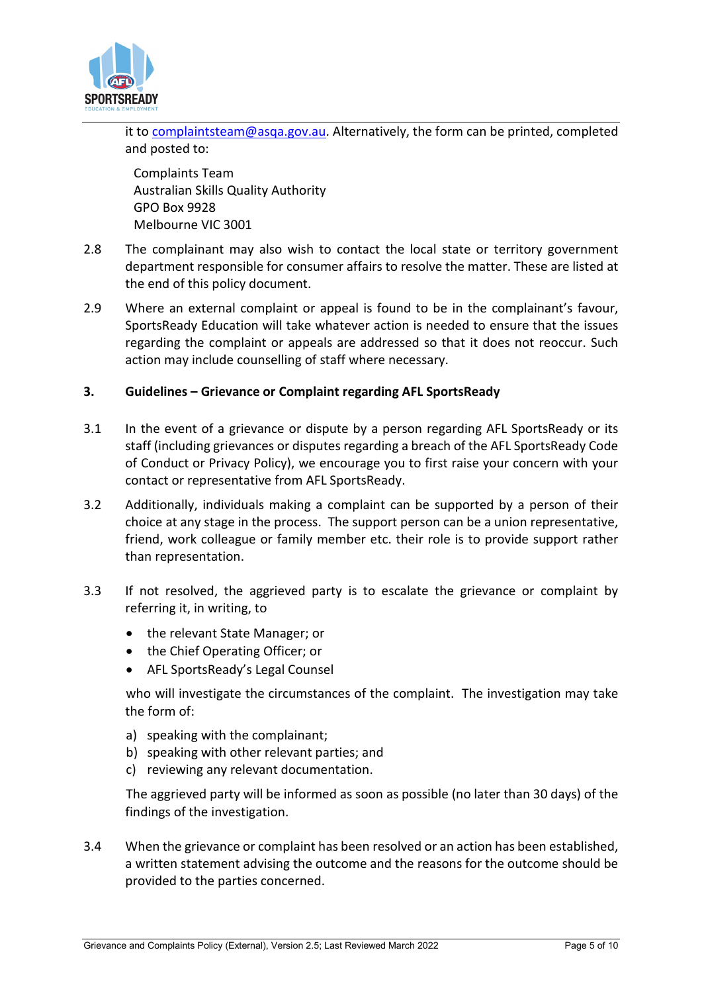

it to [complaintsteam@asqa.gov.au.](mailto:complaintsteam@asqa.gov.au) Alternatively, the form can be printed, completed and posted to:

Complaints Team Australian Skills Quality Authority GPO Box 9928 Melbourne VIC 3001

- 2.8 The complainant may also wish to contact the local state or territory government department responsible for consumer affairs to resolve the matter. These are listed at the end of this policy document.
- 2.9 Where an external complaint or appeal is found to be in the complainant's favour, SportsReady Education will take whatever action is needed to ensure that the issues regarding the complaint or appeals are addressed so that it does not reoccur. Such action may include counselling of staff where necessary.

## **3. Guidelines – Grievance or Complaint regarding AFL SportsReady**

- 3.1 In the event of a grievance or dispute by a person regarding AFL SportsReady or its staff (including grievances or disputes regarding a breach of the AFL SportsReady Code of Conduct or Privacy Policy), we encourage you to first raise your concern with your contact or representative from AFL SportsReady.
- 3.2 Additionally, individuals making a complaint can be supported by a person of their choice at any stage in the process. The support person can be a union representative, friend, work colleague or family member etc. their role is to provide support rather than representation.
- 3.3 If not resolved, the aggrieved party is to escalate the grievance or complaint by referring it, in writing, to
	- the relevant State Manager; or
	- the Chief Operating Officer; or
	- AFL SportsReady's Legal Counsel

who will investigate the circumstances of the complaint. The investigation may take the form of:

- a) speaking with the complainant;
- b) speaking with other relevant parties; and
- c) reviewing any relevant documentation.

The aggrieved party will be informed as soon as possible (no later than 30 days) of the findings of the investigation.

3.4 When the grievance or complaint has been resolved or an action has been established, a written statement advising the outcome and the reasons for the outcome should be provided to the parties concerned.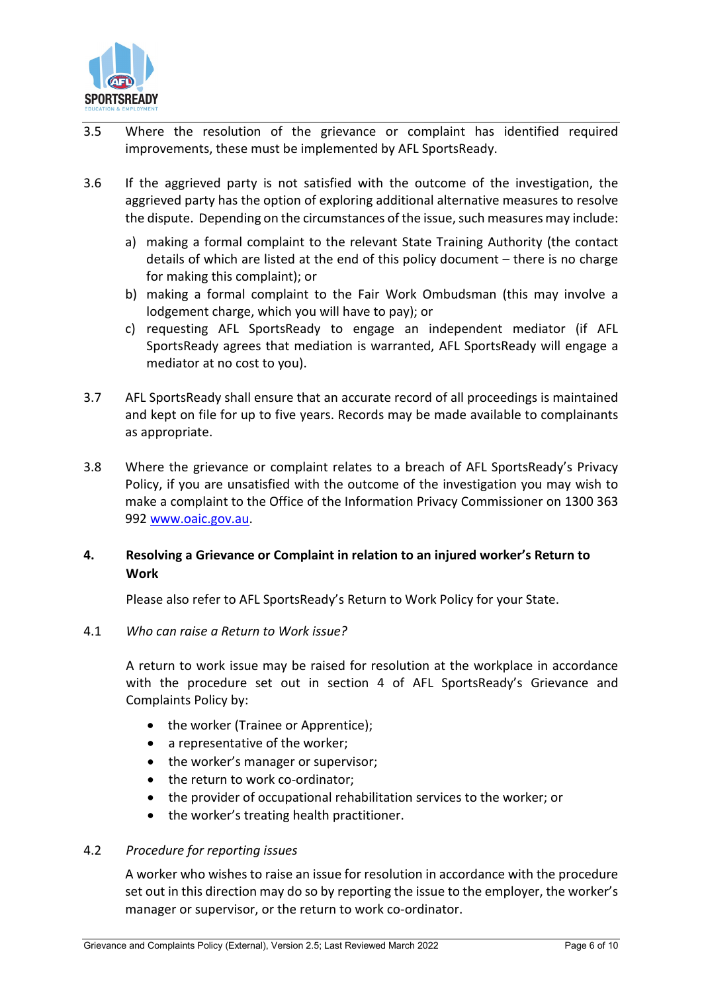

- 3.5 Where the resolution of the grievance or complaint has identified required improvements, these must be implemented by AFL SportsReady.
- 3.6 If the aggrieved party is not satisfied with the outcome of the investigation, the aggrieved party has the option of exploring additional alternative measures to resolve the dispute. Depending on the circumstances of the issue, such measures may include:
	- a) making a formal complaint to the relevant State Training Authority (the contact details of which are listed at the end of this policy document – there is no charge for making this complaint); or
	- b) making a formal complaint to the Fair Work Ombudsman (this may involve a lodgement charge, which you will have to pay); or
	- c) requesting AFL SportsReady to engage an independent mediator (if AFL SportsReady agrees that mediation is warranted, AFL SportsReady will engage a mediator at no cost to you).
- 3.7 AFL SportsReady shall ensure that an accurate record of all proceedings is maintained and kept on file for up to five years. Records may be made available to complainants as appropriate.
- 3.8 Where the grievance or complaint relates to a breach of AFL SportsReady's Privacy Policy, if you are unsatisfied with the outcome of the investigation you may wish to make a complaint to the Office of the Information Privacy Commissioner on 1300 363 992 [www.oaic.gov.au.](http://www.oaic.gov.au/)

## **4. Resolving a Grievance or Complaint in relation to an injured worker's Return to Work**

Please also refer to AFL SportsReady's Return to Work Policy for your State.

#### 4.1 *Who can raise a Return to Work issue?*

A return to work issue may be raised for resolution at the workplace in accordance with the procedure set out in section 4 of AFL SportsReady's Grievance and Complaints Policy by:

- the worker (Trainee or Apprentice);
- a representative of the worker;
- the worker's manager or supervisor;
- the return to work co-ordinator;
- the provider of occupational rehabilitation services to the worker; or
- the worker's treating health practitioner.

#### 4.2 *Procedure for reporting issues*

A worker who wishes to raise an issue for resolution in accordance with the procedure set out in this direction may do so by reporting the issue to the employer, the worker's manager or supervisor, or the return to work co-ordinator.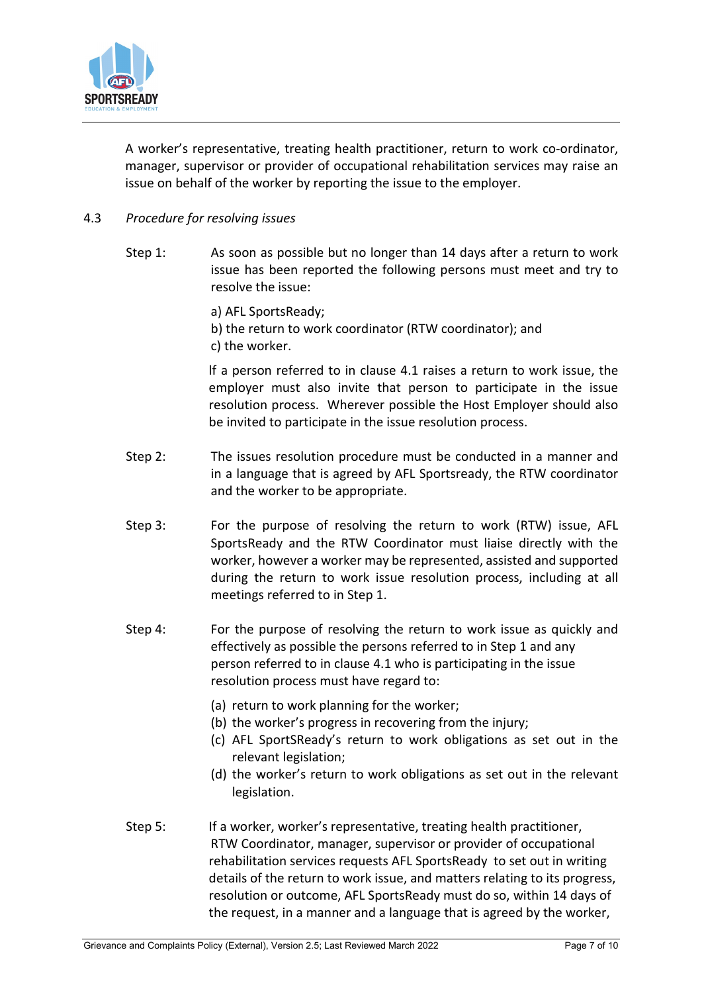

A worker's representative, treating health practitioner, return to work co-ordinator, manager, supervisor or provider of occupational rehabilitation services may raise an issue on behalf of the worker by reporting the issue to the employer.

- 4.3 *Procedure for resolving issues*
	- Step 1: As soon as possible but no longer than 14 days after a return to work issue has been reported the following persons must meet and try to resolve the issue:

a) AFL SportsReady; b) the return to work coordinator (RTW coordinator); and c) the worker.

lf a person referred to in clause 4.1 raises a return to work issue, the employer must also invite that person to participate in the issue resolution process. Wherever possible the Host Employer should also be invited to participate in the issue resolution process.

- Step 2: The issues resolution procedure must be conducted in a manner and in a language that is agreed by AFL Sportsready, the RTW coordinator and the worker to be appropriate.
- Step 3: For the purpose of resolving the return to work (RTW) issue, AFL SportsReady and the RTW Coordinator must liaise directly with the worker, however a worker may be represented, assisted and supported during the return to work issue resolution process, including at all meetings referred to in Step 1.
- Step 4: For the purpose of resolving the return to work issue as quickly and effectively as possible the persons referred to in Step 1 and any person referred to in clause 4.1 who is participating in the issue resolution process must have regard to:
	- (a) return to work planning for the worker;
	- (b) the worker's progress in recovering from the injury;
	- (c) AFL SportSReady's return to work obligations as set out in the relevant legislation;
	- (d) the worker's return to work obligations as set out in the relevant legislation.
- Step 5: If a worker, worker's representative, treating health practitioner, RTW Coordinator, manager, supervisor or provider of occupational rehabilitation services requests AFL SportsReady to set out in writing details of the return to work issue, and matters relating to its progress, resolution or outcome, AFL SportsReady must do so, within 14 days of the request, in a manner and a language that is agreed by the worker,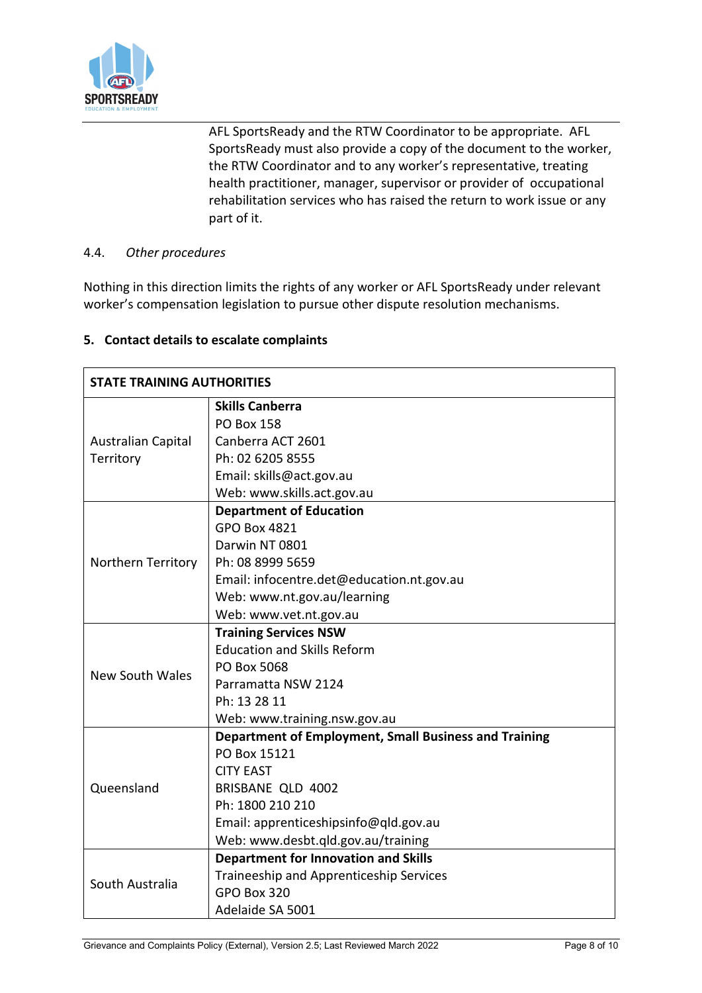

AFL SportsReady and the RTW Coordinator to be appropriate. AFL SportsReady must also provide a copy of the document to the worker, the RTW Coordinator and to any worker's representative, treating health practitioner, manager, supervisor or provider of occupational rehabilitation services who has raised the return to work issue or any part of it.

## 4.4. *Other procedures*

Nothing in this direction limits the rights of any worker or AFL SportsReady under relevant worker's compensation legislation to pursue other dispute resolution mechanisms.

## **5. Contact details to escalate complaints**

| <b>STATE TRAINING AUTHORITIES</b> |                                                       |
|-----------------------------------|-------------------------------------------------------|
|                                   | <b>Skills Canberra</b>                                |
| Australian Capital                | <b>PO Box 158</b>                                     |
|                                   | Canberra ACT 2601                                     |
| Territory                         | Ph: 02 6205 8555                                      |
|                                   | Email: skills@act.gov.au                              |
|                                   | Web: www.skills.act.gov.au                            |
|                                   | <b>Department of Education</b>                        |
|                                   | <b>GPO Box 4821</b>                                   |
|                                   | Darwin NT 0801                                        |
| Northern Territory                | Ph: 08 8999 5659                                      |
|                                   | Email: infocentre.det@education.nt.gov.au             |
|                                   | Web: www.nt.gov.au/learning                           |
|                                   | Web: www.vet.nt.gov.au                                |
|                                   | <b>Training Services NSW</b>                          |
|                                   | <b>Education and Skills Reform</b>                    |
| <b>New South Wales</b>            | PO Box 5068                                           |
|                                   | Parramatta NSW 2124                                   |
|                                   | Ph: 13 28 11                                          |
|                                   | Web: www.training.nsw.gov.au                          |
|                                   | Department of Employment, Small Business and Training |
|                                   | PO Box 15121                                          |
|                                   | <b>CITY EAST</b>                                      |
| Queensland                        | BRISBANE QLD 4002                                     |
|                                   | Ph: 1800 210 210                                      |
|                                   | Email: apprenticeshipsinfo@qld.gov.au                 |
|                                   | Web: www.desbt.qld.gov.au/training                    |
|                                   | <b>Department for Innovation and Skills</b>           |
| South Australia                   | Traineeship and Apprenticeship Services               |
|                                   | GPO Box 320                                           |
|                                   | Adelaide SA 5001                                      |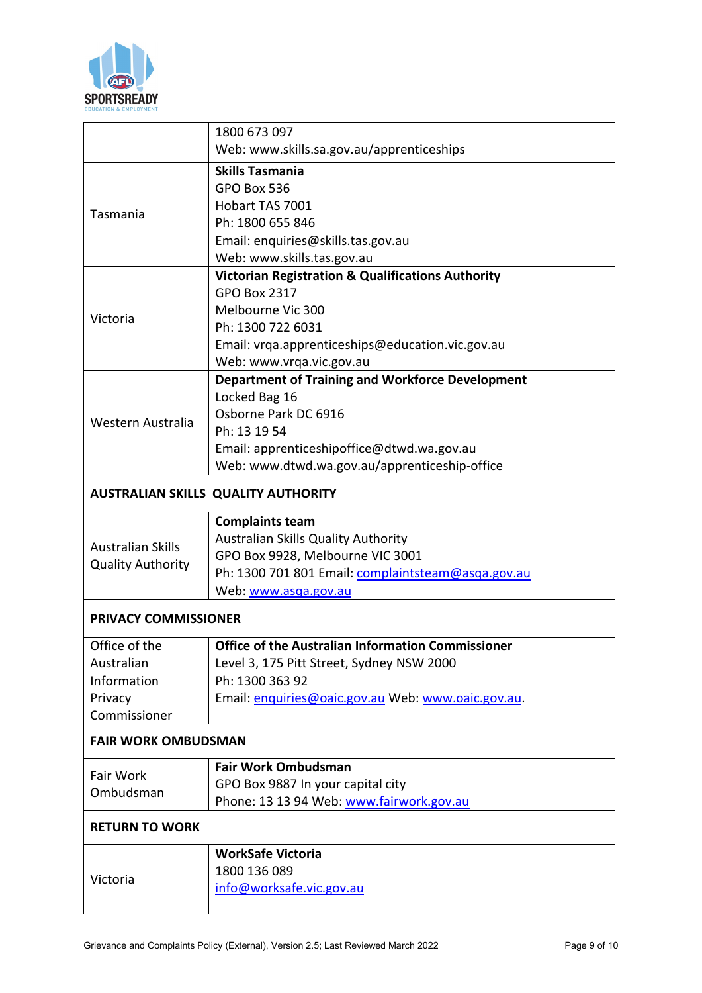

| Web: www.skills.sa.gov.au/apprenticeships<br><b>Skills Tasmania</b><br>GPO Box 536<br>Hobart TAS 7001<br>Tasmania<br>Ph: 1800 655 846<br>Email: enquiries@skills.tas.gov.au<br>Web: www.skills.tas.gov.au<br><b>Victorian Registration &amp; Qualifications Authority</b><br><b>GPO Box 2317</b><br>Melbourne Vic 300<br>Victoria<br>Ph: 1300 722 6031<br>Email: vrga.apprenticeships@education.vic.gov.au<br>Web: www.vrga.vic.gov.au<br><b>Department of Training and Workforce Development</b><br>Locked Bag 16<br>Osborne Park DC 6916<br>Western Australia<br>Ph: 13 19 54<br>Email: apprenticeshipoffice@dtwd.wa.gov.au<br>Web: www.dtwd.wa.gov.au/apprenticeship-office<br><b>AUSTRALIAN SKILLS QUALITY AUTHORITY</b> | <b>Complaints team</b>                             |  |              |
|------------------------------------------------------------------------------------------------------------------------------------------------------------------------------------------------------------------------------------------------------------------------------------------------------------------------------------------------------------------------------------------------------------------------------------------------------------------------------------------------------------------------------------------------------------------------------------------------------------------------------------------------------------------------------------------------------------------------------|----------------------------------------------------|--|--------------|
|                                                                                                                                                                                                                                                                                                                                                                                                                                                                                                                                                                                                                                                                                                                              |                                                    |  | 1800 673 097 |
|                                                                                                                                                                                                                                                                                                                                                                                                                                                                                                                                                                                                                                                                                                                              |                                                    |  |              |
|                                                                                                                                                                                                                                                                                                                                                                                                                                                                                                                                                                                                                                                                                                                              |                                                    |  |              |
|                                                                                                                                                                                                                                                                                                                                                                                                                                                                                                                                                                                                                                                                                                                              |                                                    |  |              |
|                                                                                                                                                                                                                                                                                                                                                                                                                                                                                                                                                                                                                                                                                                                              |                                                    |  |              |
|                                                                                                                                                                                                                                                                                                                                                                                                                                                                                                                                                                                                                                                                                                                              |                                                    |  |              |
|                                                                                                                                                                                                                                                                                                                                                                                                                                                                                                                                                                                                                                                                                                                              |                                                    |  |              |
|                                                                                                                                                                                                                                                                                                                                                                                                                                                                                                                                                                                                                                                                                                                              |                                                    |  |              |
|                                                                                                                                                                                                                                                                                                                                                                                                                                                                                                                                                                                                                                                                                                                              |                                                    |  |              |
|                                                                                                                                                                                                                                                                                                                                                                                                                                                                                                                                                                                                                                                                                                                              |                                                    |  |              |
|                                                                                                                                                                                                                                                                                                                                                                                                                                                                                                                                                                                                                                                                                                                              |                                                    |  |              |
|                                                                                                                                                                                                                                                                                                                                                                                                                                                                                                                                                                                                                                                                                                                              |                                                    |  |              |
|                                                                                                                                                                                                                                                                                                                                                                                                                                                                                                                                                                                                                                                                                                                              |                                                    |  |              |
|                                                                                                                                                                                                                                                                                                                                                                                                                                                                                                                                                                                                                                                                                                                              |                                                    |  |              |
|                                                                                                                                                                                                                                                                                                                                                                                                                                                                                                                                                                                                                                                                                                                              |                                                    |  |              |
|                                                                                                                                                                                                                                                                                                                                                                                                                                                                                                                                                                                                                                                                                                                              |                                                    |  |              |
|                                                                                                                                                                                                                                                                                                                                                                                                                                                                                                                                                                                                                                                                                                                              |                                                    |  |              |
|                                                                                                                                                                                                                                                                                                                                                                                                                                                                                                                                                                                                                                                                                                                              |                                                    |  |              |
|                                                                                                                                                                                                                                                                                                                                                                                                                                                                                                                                                                                                                                                                                                                              |                                                    |  |              |
|                                                                                                                                                                                                                                                                                                                                                                                                                                                                                                                                                                                                                                                                                                                              |                                                    |  |              |
|                                                                                                                                                                                                                                                                                                                                                                                                                                                                                                                                                                                                                                                                                                                              |                                                    |  |              |
|                                                                                                                                                                                                                                                                                                                                                                                                                                                                                                                                                                                                                                                                                                                              |                                                    |  |              |
|                                                                                                                                                                                                                                                                                                                                                                                                                                                                                                                                                                                                                                                                                                                              |                                                    |  |              |
| <b>Australian Skills</b>                                                                                                                                                                                                                                                                                                                                                                                                                                                                                                                                                                                                                                                                                                     |                                                    |  |              |
| <b>Quality Authority</b>                                                                                                                                                                                                                                                                                                                                                                                                                                                                                                                                                                                                                                                                                                     |                                                    |  |              |
|                                                                                                                                                                                                                                                                                                                                                                                                                                                                                                                                                                                                                                                                                                                              |                                                    |  |              |
|                                                                                                                                                                                                                                                                                                                                                                                                                                                                                                                                                                                                                                                                                                                              | Ph: 1300 701 801 Email: complaintsteam@asga.gov.au |  |              |
| PRIVACY COMMISSIONER                                                                                                                                                                                                                                                                                                                                                                                                                                                                                                                                                                                                                                                                                                         | Web: www.asqa.gov.au                               |  |              |
| Office of the<br>Office of the Australian Information Commissioner                                                                                                                                                                                                                                                                                                                                                                                                                                                                                                                                                                                                                                                           |                                                    |  |              |
| Level 3, 175 Pitt Street, Sydney NSW 2000<br>Australian                                                                                                                                                                                                                                                                                                                                                                                                                                                                                                                                                                                                                                                                      |                                                    |  |              |
|                                                                                                                                                                                                                                                                                                                                                                                                                                                                                                                                                                                                                                                                                                                              |                                                    |  |              |
|                                                                                                                                                                                                                                                                                                                                                                                                                                                                                                                                                                                                                                                                                                                              | Information<br>Ph: 1300 363 92                     |  |              |
| Email: enquiries@oaic.gov.au Web: www.oaic.gov.au.<br>Privacy                                                                                                                                                                                                                                                                                                                                                                                                                                                                                                                                                                                                                                                                |                                                    |  |              |
| Commissioner                                                                                                                                                                                                                                                                                                                                                                                                                                                                                                                                                                                                                                                                                                                 |                                                    |  |              |
| <b>FAIR WORK OMBUDSMAN</b>                                                                                                                                                                                                                                                                                                                                                                                                                                                                                                                                                                                                                                                                                                   |                                                    |  |              |
| <b>Fair Work Ombudsman</b>                                                                                                                                                                                                                                                                                                                                                                                                                                                                                                                                                                                                                                                                                                   |                                                    |  |              |
| Fair Work                                                                                                                                                                                                                                                                                                                                                                                                                                                                                                                                                                                                                                                                                                                    |                                                    |  |              |
| GPO Box 9887 In your capital city<br>Ombudsman                                                                                                                                                                                                                                                                                                                                                                                                                                                                                                                                                                                                                                                                               |                                                    |  |              |
| Phone: 13 13 94 Web: www.fairwork.gov.au<br><b>RETURN TO WORK</b>                                                                                                                                                                                                                                                                                                                                                                                                                                                                                                                                                                                                                                                            |                                                    |  |              |
|                                                                                                                                                                                                                                                                                                                                                                                                                                                                                                                                                                                                                                                                                                                              |                                                    |  |              |
| <b>WorkSafe Victoria</b>                                                                                                                                                                                                                                                                                                                                                                                                                                                                                                                                                                                                                                                                                                     |                                                    |  |              |
| 1800 136 089<br>Victoria                                                                                                                                                                                                                                                                                                                                                                                                                                                                                                                                                                                                                                                                                                     |                                                    |  |              |
|                                                                                                                                                                                                                                                                                                                                                                                                                                                                                                                                                                                                                                                                                                                              |                                                    |  |              |
| Australian Skills Quality Authority                                                                                                                                                                                                                                                                                                                                                                                                                                                                                                                                                                                                                                                                                          |                                                    |  |              |
| GPO Box 9928, Melbourne VIC 3001                                                                                                                                                                                                                                                                                                                                                                                                                                                                                                                                                                                                                                                                                             |                                                    |  |              |
|                                                                                                                                                                                                                                                                                                                                                                                                                                                                                                                                                                                                                                                                                                                              |                                                    |  |              |
|                                                                                                                                                                                                                                                                                                                                                                                                                                                                                                                                                                                                                                                                                                                              |                                                    |  |              |
|                                                                                                                                                                                                                                                                                                                                                                                                                                                                                                                                                                                                                                                                                                                              |                                                    |  |              |
|                                                                                                                                                                                                                                                                                                                                                                                                                                                                                                                                                                                                                                                                                                                              |                                                    |  |              |
|                                                                                                                                                                                                                                                                                                                                                                                                                                                                                                                                                                                                                                                                                                                              |                                                    |  |              |
|                                                                                                                                                                                                                                                                                                                                                                                                                                                                                                                                                                                                                                                                                                                              |                                                    |  |              |
|                                                                                                                                                                                                                                                                                                                                                                                                                                                                                                                                                                                                                                                                                                                              |                                                    |  |              |
|                                                                                                                                                                                                                                                                                                                                                                                                                                                                                                                                                                                                                                                                                                                              |                                                    |  |              |
|                                                                                                                                                                                                                                                                                                                                                                                                                                                                                                                                                                                                                                                                                                                              |                                                    |  |              |
|                                                                                                                                                                                                                                                                                                                                                                                                                                                                                                                                                                                                                                                                                                                              |                                                    |  |              |
|                                                                                                                                                                                                                                                                                                                                                                                                                                                                                                                                                                                                                                                                                                                              |                                                    |  |              |
|                                                                                                                                                                                                                                                                                                                                                                                                                                                                                                                                                                                                                                                                                                                              |                                                    |  |              |
|                                                                                                                                                                                                                                                                                                                                                                                                                                                                                                                                                                                                                                                                                                                              |                                                    |  |              |
|                                                                                                                                                                                                                                                                                                                                                                                                                                                                                                                                                                                                                                                                                                                              |                                                    |  |              |
|                                                                                                                                                                                                                                                                                                                                                                                                                                                                                                                                                                                                                                                                                                                              |                                                    |  |              |
|                                                                                                                                                                                                                                                                                                                                                                                                                                                                                                                                                                                                                                                                                                                              |                                                    |  |              |
|                                                                                                                                                                                                                                                                                                                                                                                                                                                                                                                                                                                                                                                                                                                              |                                                    |  |              |
|                                                                                                                                                                                                                                                                                                                                                                                                                                                                                                                                                                                                                                                                                                                              |                                                    |  |              |
|                                                                                                                                                                                                                                                                                                                                                                                                                                                                                                                                                                                                                                                                                                                              |                                                    |  |              |
|                                                                                                                                                                                                                                                                                                                                                                                                                                                                                                                                                                                                                                                                                                                              |                                                    |  |              |
|                                                                                                                                                                                                                                                                                                                                                                                                                                                                                                                                                                                                                                                                                                                              |                                                    |  |              |
|                                                                                                                                                                                                                                                                                                                                                                                                                                                                                                                                                                                                                                                                                                                              |                                                    |  |              |
|                                                                                                                                                                                                                                                                                                                                                                                                                                                                                                                                                                                                                                                                                                                              |                                                    |  |              |
|                                                                                                                                                                                                                                                                                                                                                                                                                                                                                                                                                                                                                                                                                                                              |                                                    |  |              |
|                                                                                                                                                                                                                                                                                                                                                                                                                                                                                                                                                                                                                                                                                                                              |                                                    |  |              |
|                                                                                                                                                                                                                                                                                                                                                                                                                                                                                                                                                                                                                                                                                                                              |                                                    |  |              |
|                                                                                                                                                                                                                                                                                                                                                                                                                                                                                                                                                                                                                                                                                                                              |                                                    |  |              |
|                                                                                                                                                                                                                                                                                                                                                                                                                                                                                                                                                                                                                                                                                                                              |                                                    |  |              |
|                                                                                                                                                                                                                                                                                                                                                                                                                                                                                                                                                                                                                                                                                                                              |                                                    |  |              |
|                                                                                                                                                                                                                                                                                                                                                                                                                                                                                                                                                                                                                                                                                                                              |                                                    |  |              |
|                                                                                                                                                                                                                                                                                                                                                                                                                                                                                                                                                                                                                                                                                                                              |                                                    |  |              |
|                                                                                                                                                                                                                                                                                                                                                                                                                                                                                                                                                                                                                                                                                                                              |                                                    |  |              |
|                                                                                                                                                                                                                                                                                                                                                                                                                                                                                                                                                                                                                                                                                                                              |                                                    |  |              |
|                                                                                                                                                                                                                                                                                                                                                                                                                                                                                                                                                                                                                                                                                                                              |                                                    |  |              |
|                                                                                                                                                                                                                                                                                                                                                                                                                                                                                                                                                                                                                                                                                                                              |                                                    |  |              |
|                                                                                                                                                                                                                                                                                                                                                                                                                                                                                                                                                                                                                                                                                                                              |                                                    |  |              |
|                                                                                                                                                                                                                                                                                                                                                                                                                                                                                                                                                                                                                                                                                                                              |                                                    |  |              |
|                                                                                                                                                                                                                                                                                                                                                                                                                                                                                                                                                                                                                                                                                                                              |                                                    |  |              |
|                                                                                                                                                                                                                                                                                                                                                                                                                                                                                                                                                                                                                                                                                                                              |                                                    |  |              |
|                                                                                                                                                                                                                                                                                                                                                                                                                                                                                                                                                                                                                                                                                                                              |                                                    |  |              |
|                                                                                                                                                                                                                                                                                                                                                                                                                                                                                                                                                                                                                                                                                                                              |                                                    |  |              |
|                                                                                                                                                                                                                                                                                                                                                                                                                                                                                                                                                                                                                                                                                                                              |                                                    |  |              |
|                                                                                                                                                                                                                                                                                                                                                                                                                                                                                                                                                                                                                                                                                                                              |                                                    |  |              |
|                                                                                                                                                                                                                                                                                                                                                                                                                                                                                                                                                                                                                                                                                                                              |                                                    |  |              |
|                                                                                                                                                                                                                                                                                                                                                                                                                                                                                                                                                                                                                                                                                                                              |                                                    |  |              |
|                                                                                                                                                                                                                                                                                                                                                                                                                                                                                                                                                                                                                                                                                                                              |                                                    |  |              |
|                                                                                                                                                                                                                                                                                                                                                                                                                                                                                                                                                                                                                                                                                                                              |                                                    |  |              |
|                                                                                                                                                                                                                                                                                                                                                                                                                                                                                                                                                                                                                                                                                                                              |                                                    |  |              |
|                                                                                                                                                                                                                                                                                                                                                                                                                                                                                                                                                                                                                                                                                                                              |                                                    |  |              |
|                                                                                                                                                                                                                                                                                                                                                                                                                                                                                                                                                                                                                                                                                                                              |                                                    |  |              |
|                                                                                                                                                                                                                                                                                                                                                                                                                                                                                                                                                                                                                                                                                                                              |                                                    |  |              |
|                                                                                                                                                                                                                                                                                                                                                                                                                                                                                                                                                                                                                                                                                                                              |                                                    |  |              |
|                                                                                                                                                                                                                                                                                                                                                                                                                                                                                                                                                                                                                                                                                                                              |                                                    |  |              |
|                                                                                                                                                                                                                                                                                                                                                                                                                                                                                                                                                                                                                                                                                                                              |                                                    |  |              |
|                                                                                                                                                                                                                                                                                                                                                                                                                                                                                                                                                                                                                                                                                                                              |                                                    |  |              |
|                                                                                                                                                                                                                                                                                                                                                                                                                                                                                                                                                                                                                                                                                                                              |                                                    |  |              |
|                                                                                                                                                                                                                                                                                                                                                                                                                                                                                                                                                                                                                                                                                                                              |                                                    |  |              |
|                                                                                                                                                                                                                                                                                                                                                                                                                                                                                                                                                                                                                                                                                                                              |                                                    |  |              |
|                                                                                                                                                                                                                                                                                                                                                                                                                                                                                                                                                                                                                                                                                                                              |                                                    |  |              |
|                                                                                                                                                                                                                                                                                                                                                                                                                                                                                                                                                                                                                                                                                                                              |                                                    |  |              |
|                                                                                                                                                                                                                                                                                                                                                                                                                                                                                                                                                                                                                                                                                                                              |                                                    |  |              |
|                                                                                                                                                                                                                                                                                                                                                                                                                                                                                                                                                                                                                                                                                                                              |                                                    |  |              |
|                                                                                                                                                                                                                                                                                                                                                                                                                                                                                                                                                                                                                                                                                                                              |                                                    |  |              |
|                                                                                                                                                                                                                                                                                                                                                                                                                                                                                                                                                                                                                                                                                                                              |                                                    |  |              |
|                                                                                                                                                                                                                                                                                                                                                                                                                                                                                                                                                                                                                                                                                                                              |                                                    |  |              |
|                                                                                                                                                                                                                                                                                                                                                                                                                                                                                                                                                                                                                                                                                                                              |                                                    |  |              |
|                                                                                                                                                                                                                                                                                                                                                                                                                                                                                                                                                                                                                                                                                                                              |                                                    |  |              |
|                                                                                                                                                                                                                                                                                                                                                                                                                                                                                                                                                                                                                                                                                                                              |                                                    |  |              |
|                                                                                                                                                                                                                                                                                                                                                                                                                                                                                                                                                                                                                                                                                                                              |                                                    |  |              |
|                                                                                                                                                                                                                                                                                                                                                                                                                                                                                                                                                                                                                                                                                                                              |                                                    |  |              |
|                                                                                                                                                                                                                                                                                                                                                                                                                                                                                                                                                                                                                                                                                                                              |                                                    |  |              |
|                                                                                                                                                                                                                                                                                                                                                                                                                                                                                                                                                                                                                                                                                                                              |                                                    |  |              |
|                                                                                                                                                                                                                                                                                                                                                                                                                                                                                                                                                                                                                                                                                                                              |                                                    |  |              |
|                                                                                                                                                                                                                                                                                                                                                                                                                                                                                                                                                                                                                                                                                                                              |                                                    |  |              |
|                                                                                                                                                                                                                                                                                                                                                                                                                                                                                                                                                                                                                                                                                                                              |                                                    |  |              |
|                                                                                                                                                                                                                                                                                                                                                                                                                                                                                                                                                                                                                                                                                                                              |                                                    |  |              |
|                                                                                                                                                                                                                                                                                                                                                                                                                                                                                                                                                                                                                                                                                                                              |                                                    |  |              |
|                                                                                                                                                                                                                                                                                                                                                                                                                                                                                                                                                                                                                                                                                                                              |                                                    |  |              |
|                                                                                                                                                                                                                                                                                                                                                                                                                                                                                                                                                                                                                                                                                                                              |                                                    |  |              |
|                                                                                                                                                                                                                                                                                                                                                                                                                                                                                                                                                                                                                                                                                                                              |                                                    |  |              |
|                                                                                                                                                                                                                                                                                                                                                                                                                                                                                                                                                                                                                                                                                                                              |                                                    |  |              |
|                                                                                                                                                                                                                                                                                                                                                                                                                                                                                                                                                                                                                                                                                                                              |                                                    |  |              |
|                                                                                                                                                                                                                                                                                                                                                                                                                                                                                                                                                                                                                                                                                                                              |                                                    |  |              |
|                                                                                                                                                                                                                                                                                                                                                                                                                                                                                                                                                                                                                                                                                                                              |                                                    |  |              |
|                                                                                                                                                                                                                                                                                                                                                                                                                                                                                                                                                                                                                                                                                                                              |                                                    |  |              |
|                                                                                                                                                                                                                                                                                                                                                                                                                                                                                                                                                                                                                                                                                                                              |                                                    |  |              |
|                                                                                                                                                                                                                                                                                                                                                                                                                                                                                                                                                                                                                                                                                                                              |                                                    |  |              |
|                                                                                                                                                                                                                                                                                                                                                                                                                                                                                                                                                                                                                                                                                                                              |                                                    |  |              |
|                                                                                                                                                                                                                                                                                                                                                                                                                                                                                                                                                                                                                                                                                                                              |                                                    |  |              |
|                                                                                                                                                                                                                                                                                                                                                                                                                                                                                                                                                                                                                                                                                                                              |                                                    |  |              |
|                                                                                                                                                                                                                                                                                                                                                                                                                                                                                                                                                                                                                                                                                                                              |                                                    |  |              |
|                                                                                                                                                                                                                                                                                                                                                                                                                                                                                                                                                                                                                                                                                                                              |                                                    |  |              |
|                                                                                                                                                                                                                                                                                                                                                                                                                                                                                                                                                                                                                                                                                                                              |                                                    |  |              |
|                                                                                                                                                                                                                                                                                                                                                                                                                                                                                                                                                                                                                                                                                                                              |                                                    |  |              |
|                                                                                                                                                                                                                                                                                                                                                                                                                                                                                                                                                                                                                                                                                                                              |                                                    |  |              |
|                                                                                                                                                                                                                                                                                                                                                                                                                                                                                                                                                                                                                                                                                                                              |                                                    |  |              |
|                                                                                                                                                                                                                                                                                                                                                                                                                                                                                                                                                                                                                                                                                                                              |                                                    |  |              |
| info@worksafe.vic.gov.au                                                                                                                                                                                                                                                                                                                                                                                                                                                                                                                                                                                                                                                                                                     |                                                    |  |              |